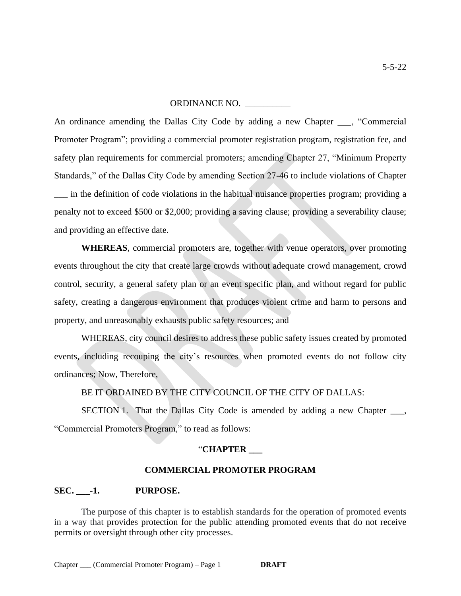#### ORDINANCE NO. \_\_\_\_\_\_\_\_\_\_

An ordinance amending the Dallas City Code by adding a new Chapter \_\_\_, "Commercial Promoter Program"; providing a commercial promoter registration program, registration fee, and safety plan requirements for commercial promoters; amending Chapter 27, "Minimum Property Standards," of the Dallas City Code by amending Section 27-46 to include violations of Chapter \_\_\_ in the definition of code violations in the habitual nuisance properties program; providing a penalty not to exceed \$500 or \$2,000; providing a saving clause; providing a severability clause; and providing an effective date.

**WHEREAS**, commercial promoters are, together with venue operators, over promoting events throughout the city that create large crowds without adequate crowd management, crowd control, security, a general safety plan or an event specific plan, and without regard for public safety, creating a dangerous environment that produces violent crime and harm to persons and property, and unreasonably exhausts public safety resources; and

WHEREAS, city council desires to address these public safety issues created by promoted events, including recouping the city's resources when promoted events do not follow city ordinances; Now, Therefore,

BE IT ORDAINED BY THE CITY COUNCIL OF THE CITY OF DALLAS:

SECTION 1. That the Dallas City Code is amended by adding a new Chapter \_\_\_, "Commercial Promoters Program," to read as follows:

#### "**CHAPTER \_\_\_**

#### **COMMERCIAL PROMOTER PROGRAM**

#### **SEC. \_\_\_-1. PURPOSE.**

The purpose of this chapter is to establish standards for the operation of promoted events in a way that provides protection for the public attending promoted events that do not receive permits or oversight through other city processes.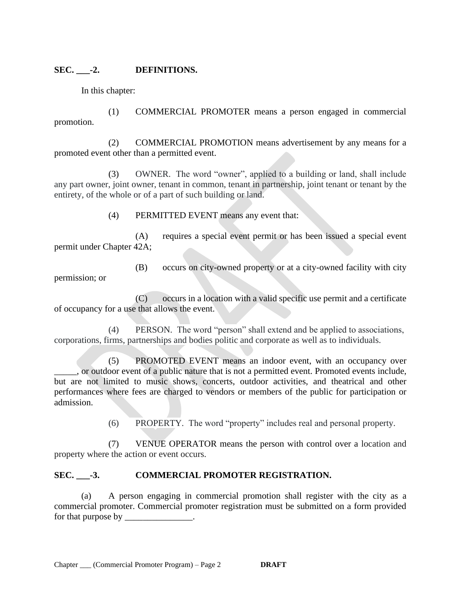# **SEC. \_\_\_-2. DEFINITIONS.**

In this chapter:

permission; or

(1) COMMERCIAL PROMOTER means a person engaged in commercial promotion.

(2) COMMERCIAL PROMOTION means advertisement by any means for a promoted event other than a permitted event.

(3) OWNER. The word "owner", applied to a building or land, shall include any part owner, joint owner, tenant in common, tenant in partnership, joint tenant or tenant by the entirety, of the whole or of a part of such building or land.

(4) PERMITTED EVENT means any event that:

(A) requires a special event permit or has been issued a special event permit under Chapter 42A;

(B) occurs on city-owned property or at a city-owned facility with city

(C) occurs in a location with a valid specific use permit and a certificate of occupancy for a use that allows the event.

(4) PERSON. The word "person" shall extend and be applied to associations, corporations, firms, partnerships and bodies politic and corporate as well as to individuals.

(5) PROMOTED EVENT means an indoor event, with an occupancy over \_\_\_\_\_, or outdoor event of a public nature that is not a permitted event. Promoted events include, but are not limited to music shows, concerts, outdoor activities, and theatrical and other performances where fees are charged to vendors or members of the public for participation or admission.

(6) PROPERTY. The word "property" includes real and personal property.

(7) VENUE OPERATOR means the person with control over a location and property where the action or event occurs.

# **SEC. \_\_\_-3. COMMERCIAL PROMOTER REGISTRATION.**

(a) A person engaging in commercial promotion shall register with the city as a commercial promoter. Commercial promoter registration must be submitted on a form provided for that purpose by \_\_\_\_\_\_\_\_\_\_\_\_\_\_.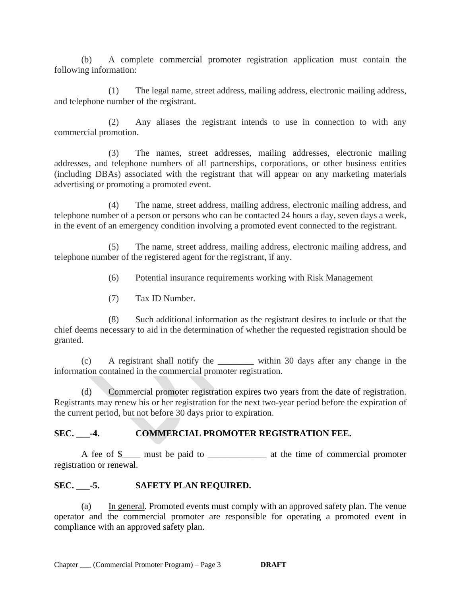(b) A complete commercial promoter registration application must contain the following information:

 (1) The legal name, street address, mailing address, electronic mailing address, and telephone number of the registrant.

 (2) Any aliases the registrant intends to use in connection to with any commercial promotion.

 (3) The names, street addresses, mailing addresses, electronic mailing addresses, and telephone numbers of all partnerships, corporations, or other business entities (including DBAs) associated with the registrant that will appear on any marketing materials advertising or promoting a promoted event.

 (4) The name, street address, mailing address, electronic mailing address, and telephone number of a person or persons who can be contacted 24 hours a day, seven days a week, in the event of an emergency condition involving a promoted event connected to the registrant.

 (5) The name, street address, mailing address, electronic mailing address, and telephone number of the registered agent for the registrant, if any.

(6) Potential insurance requirements working with Risk Management

(7) Tax ID Number.

 (8) Such additional information as the registrant desires to include or that the chief deems necessary to aid in the determination of whether the requested registration should be granted.

 (c) A registrant shall notify the \_\_\_\_\_\_\_\_ within 30 days after any change in the information contained in the commercial promoter registration.

(d) Commercial promoter registration expires two years from the date of registration. Registrants may renew his or her registration for the next two-year period before the expiration of the current period, but not before 30 days prior to expiration.

# SEC. -4. **COMMERCIAL PROMOTER REGISTRATION FEE.**

A fee of \$\_\_\_\_ must be paid to \_\_\_\_\_\_\_\_\_\_\_\_\_ at the time of commercial promoter registration or renewal.

# **SEC. \_\_\_-5. SAFETY PLAN REQUIRED.**

(a) In general. Promoted events must comply with an approved safety plan. The venue operator and the commercial promoter are responsible for operating a promoted event in compliance with an approved safety plan.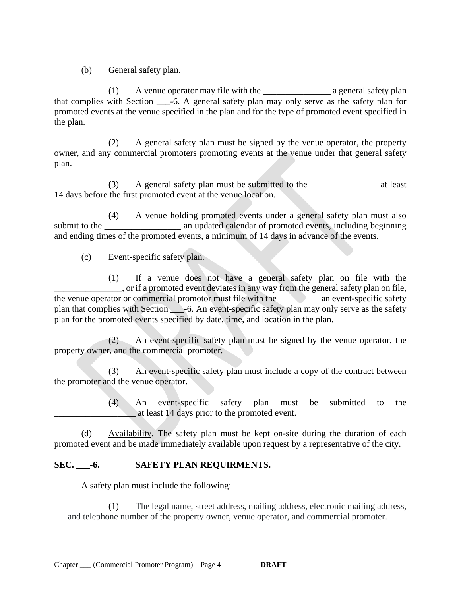(b) General safety plan.

(1) A venue operator may file with the \_\_\_\_\_\_\_\_\_\_\_\_\_\_\_ a general safety plan that complies with Section \_\_\_-6. A general safety plan may only serve as the safety plan for promoted events at the venue specified in the plan and for the type of promoted event specified in the plan.

(2) A general safety plan must be signed by the venue operator, the property owner, and any commercial promoters promoting events at the venue under that general safety plan.

(3) A general safety plan must be submitted to the \_\_\_\_\_\_\_\_\_\_\_\_\_\_\_ at least 14 days before the first promoted event at the venue location.

(4) A venue holding promoted events under a general safety plan must also submit to the an updated calendar of promoted events, including beginning and ending times of the promoted events, a minimum of 14 days in advance of the events.

(c) Event-specific safety plan.

(1) If a venue does not have a general safety plan on file with the \_\_\_\_\_\_\_\_\_\_\_\_\_\_\_, or if a promoted event deviates in any way from the general safety plan on file, the venue operator or commercial promotor must file with the an event-specific safety plan that complies with Section \_\_\_-6. An event-specific safety plan may only serve as the safety plan for the promoted events specified by date, time, and location in the plan.

(2) An event-specific safety plan must be signed by the venue operator, the property owner, and the commercial promoter.

(3) An event-specific safety plan must include a copy of the contract between the promoter and the venue operator.

> (4) An event-specific safety plan must be submitted to the \_\_\_\_\_\_\_\_\_\_\_\_\_\_\_\_\_\_ at least 14 days prior to the promoted event.

(d) Availability. The safety plan must be kept on-site during the duration of each promoted event and be made immediately available upon request by a representative of the city.

# **SEC. \_\_\_-6. SAFETY PLAN REQUIRMENTS.**

A safety plan must include the following:

(1) The legal name, street address, mailing address, electronic mailing address, and telephone number of the property owner, venue operator, and commercial promoter.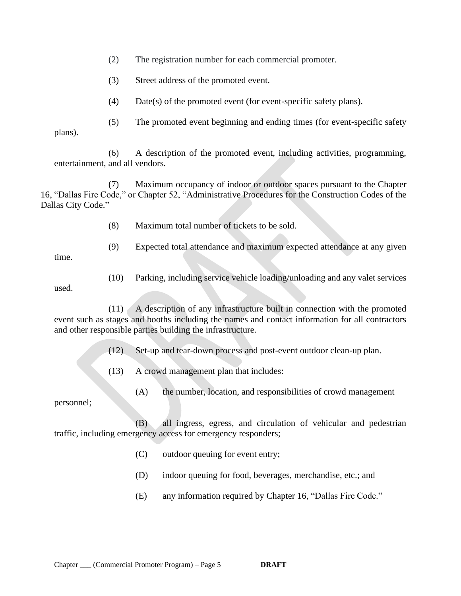(2) The registration number for each commercial promoter.

- (3) Street address of the promoted event.
- (4) Date(s) of the promoted event (for event-specific safety plans).

(5) The promoted event beginning and ending times (for event-specific safety

plans).

(6) A description of the promoted event, including activities, programming, entertainment, and all vendors.

(7) Maximum occupancy of indoor or outdoor spaces pursuant to the Chapter 16, "Dallas Fire Code," or Chapter 52, "Administrative Procedures for the Construction Codes of the Dallas City Code."

- (8) Maximum total number of tickets to be sold.
- (9) Expected total attendance and maximum expected attendance at any given

time.

used.

(10) Parking, including service vehicle loading/unloading and any valet services

(11) A description of any infrastructure built in connection with the promoted event such as stages and booths including the names and contact information for all contractors and other responsible parties building the infrastructure.

(12) Set-up and tear-down process and post-event outdoor clean-up plan.

- (13) A crowd management plan that includes:
	- (A) the number, location, and responsibilities of crowd management

personnel;

(B) all ingress, egress, and circulation of vehicular and pedestrian traffic, including emergency access for emergency responders;

- (C) outdoor queuing for event entry;
- (D) indoor queuing for food, beverages, merchandise, etc.; and
- (E) any information required by Chapter 16, "Dallas Fire Code."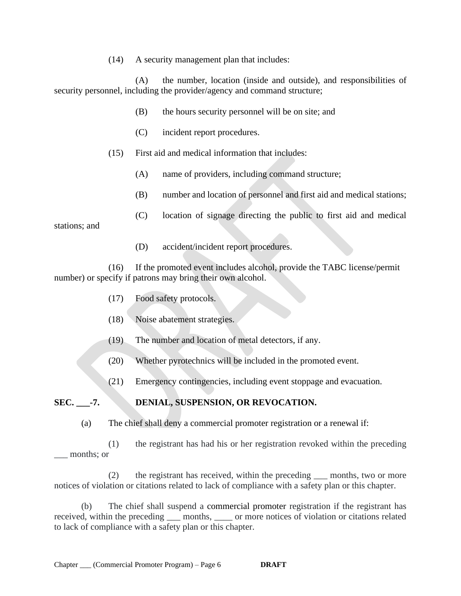(14) A security management plan that includes:

(A) the number, location (inside and outside), and responsibilities of security personnel, including the provider/agency and command structure;

- (B) the hours security personnel will be on site; and
- (C) incident report procedures.
- (15) First aid and medical information that includes:
	- (A) name of providers, including command structure;
	- (B) number and location of personnel and first aid and medical stations;
	- (C) location of signage directing the public to first aid and medical

stations; and

(D) accident/incident report procedures.

(16) If the promoted event includes alcohol, provide the TABC license/permit number) or specify if patrons may bring their own alcohol.

- (17) Food safety protocols.
- (18) Noise abatement strategies.
- (19) The number and location of metal detectors, if any.
- (20) Whether pyrotechnics will be included in the promoted event.
- (21) Emergency contingencies, including event stoppage and evacuation.

# **SEC. \_\_\_-7. DENIAL, SUSPENSION, OR REVOCATION.**

(a) The chief shall deny a commercial promoter registration or a renewal if:

(1) the registrant has had his or her registration revoked within the preceding months; or

 (2) the registrant has received, within the preceding \_\_\_ months, two or more notices of violation or citations related to lack of compliance with a safety plan or this chapter.

(b) The chief shall suspend a commercial promoter registration if the registrant has received, within the preceding \_\_\_ months, \_\_\_\_ or more notices of violation or citations related to lack of compliance with a safety plan or this chapter.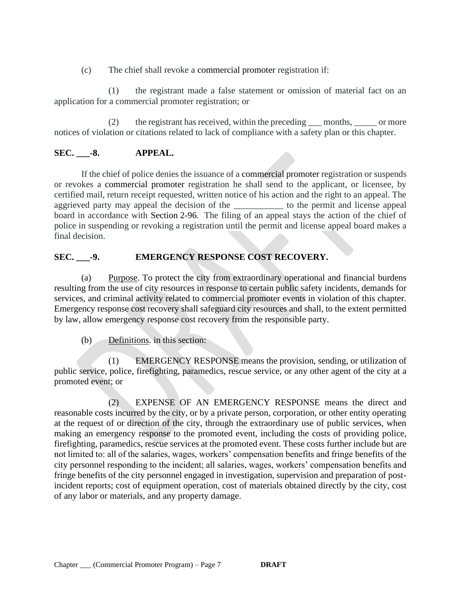(c) The chief shall revoke a commercial promoter registration if:

(1) the registrant made a false statement or omission of material fact on an application for a commercial promoter registration; or

(2) the registrant has received, within the preceding \_\_\_ months, \_\_\_\_\_ or more notices of violation or citations related to lack of compliance with a safety plan or this chapter.

# **SEC. \_\_\_-8. APPEAL.**

If the chief of police denies the issuance of a commercial promoter registration or suspends or revokes a commercial promoter registration he shall send to the applicant, or licensee, by certified mail, return receipt requested, written notice of his action and the right to an appeal. The aggrieved party may appeal the decision of the \_\_\_\_\_\_\_\_\_\_\_\_ to the permit and license appeal board in accordance with Section [2-96.](https://codelibrary.amlegal.com/codes/dallas/latest/dallas_tx/0-0-0-1118#JD_2-96) The filing of an appeal stays the action of the chief of police in suspending or revoking a registration until the permit and license appeal board makes a final decision.

# **SEC. \_\_\_-9. EMERGENCY RESPONSE COST RECOVERY.**

(a) Purpose. To protect the city from extraordinary operational and financial burdens resulting from the use of city resources in response to certain public safety incidents, demands for services, and criminal activity related to commercial promoter events in violation of this chapter. Emergency response cost recovery shall safeguard city resources and shall, to the extent permitted by law, allow emergency response cost recovery from the responsible party.

(b) Definitions. in this section:

(1) EMERGENCY RESPONSE means the provision, sending, or utilization of public service, police, firefighting, paramedics, rescue service, or any other agent of the city at a promoted event; or

(2) EXPENSE OF AN EMERGENCY RESPONSE means the direct and reasonable costs incurred by the city, or by a private person, corporation, or other entity operating at the request of or direction of the city, through the extraordinary use of public services, when making an emergency response to the promoted event, including the costs of providing police, firefighting, paramedics, rescue services at the promoted event. These costs further include but are not limited to: all of the salaries, wages, workers' compensation benefits and fringe benefits of the city personnel responding to the incident; all salaries, wages, workers' compensation benefits and fringe benefits of the city personnel engaged in investigation, supervision and preparation of postincident reports; cost of equipment operation, cost of materials obtained directly by the city, cost of any labor or materials, and any property damage.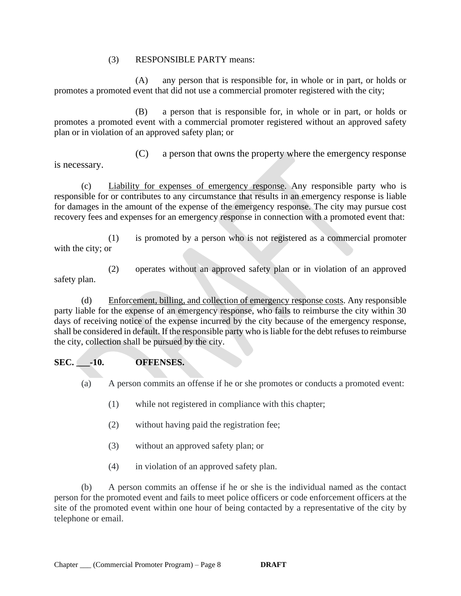#### (3) RESPONSIBLE PARTY means:

(A) any person that is responsible for, in whole or in part, or holds or promotes a promoted event that did not use a commercial promoter registered with the city;

(B) a person that is responsible for, in whole or in part, or holds or promotes a promoted event with a commercial promoter registered without an approved safety plan or in violation of an approved safety plan; or

is necessary.

(C) a person that owns the property where the emergency response

(c) Liability for expenses of emergency response. Any responsible party who is responsible for or contributes to any circumstance that results in an emergency response is liable for damages in the amount of the expense of the emergency response. The city may pursue cost recovery fees and expenses for an emergency response in connection with a promoted event that:

(1) is promoted by a person who is not registered as a commercial promoter with the city; or

(2) operates without an approved safety plan or in violation of an approved safety plan.

(d) Enforcement, billing, and collection of emergency response costs. Any responsible party liable for the expense of an emergency response, who fails to reimburse the city within 30 days of receiving notice of the expense incurred by the city because of the emergency response, shall be considered in default. If the responsible party who is liable for the debt refuses to reimburse the city, collection shall be pursued by the city.

# **SEC. \_\_\_-10. OFFENSES.**

(a) A person commits an offense if he or she promotes or conducts a promoted event:

- (1) while not registered in compliance with this chapter;
- (2) without having paid the registration fee;
- (3) without an approved safety plan; or
- (4) in violation of an approved safety plan.

(b) A person commits an offense if he or she is the individual named as the contact person for the promoted event and fails to meet police officers or code enforcement officers at the site of the promoted event within one hour of being contacted by a representative of the city by telephone or email.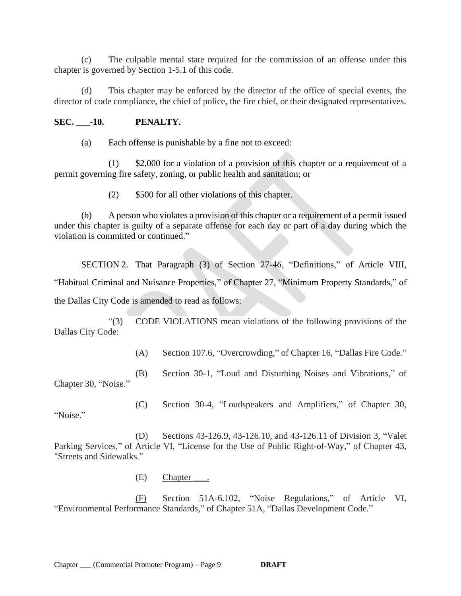(c) The culpable mental state required for the commission of an offense under this chapter is governed by Section 1-5.1 of this code.

(d) This chapter may be enforced by the director of the office of special events, the director of code compliance, the chief of police, the fire chief, or their designated representatives.

#### **SEC. \_\_\_-10. PENALTY.**

(a) Each offense is punishable by a fine not to exceed:

(1) \$2,000 for a violation of a provision of this chapter or a requirement of a permit governing fire safety, zoning, or public health and sanitation; or

(2) \$500 for all other violations of this chapter.

(b) A person who violates a provision of this chapter or a requirement of a permit issued under this chapter is guilty of a separate offense for each day or part of a day during which the violation is committed or continued."

SECTION 2. That Paragraph (3) of Section 27-46, "Definitions," of Article VIII, "Habitual Criminal and Nuisance Properties," of Chapter 27, "Minimum Property Standards," of the Dallas City Code is amended to read as follows:

"(3) CODE VIOLATIONS mean violations of the following provisions of the Dallas City Code:

(A) Section 107.6, "Overcrowding," of Chapter 16, "Dallas Fire Code."

 (B) Section 30-1, "Loud and Disturbing Noises and Vibrations," of Chapter 30, "Noise."

(C) Section 30-4, "Loudspeakers and Amplifiers," of Chapter 30,

"Noise."

(D) Sections 43-126.9, 43-126.10, and 43-126.11 of Division 3, "Valet

Parking Services," of Article VI, "License for the Use of Public Right-of-Way," of Chapter 43, "Streets and Sidewalks."

(E) Chapter \_\_\_.

(F) Section 51A-6.102, "Noise Regulations," of Article VI, "Environmental Performance Standards," of Chapter 51A, "Dallas Development Code."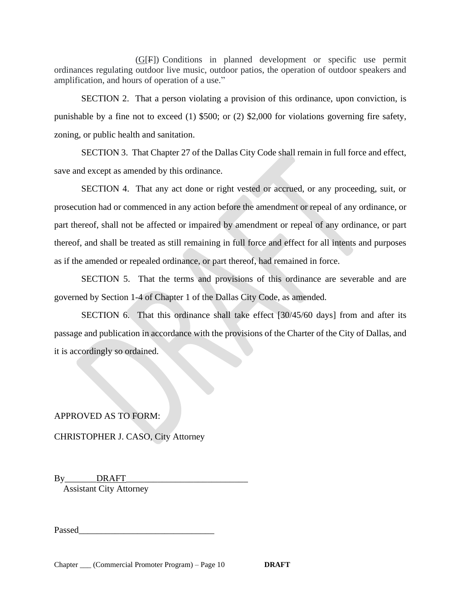(G[F]) Conditions in planned development or specific use permit ordinances regulating outdoor live music, outdoor patios, the operation of outdoor speakers and amplification, and hours of operation of a use."

SECTION 2. That a person violating a provision of this ordinance, upon conviction, is punishable by a fine not to exceed (1) \$500; or (2) \$2,000 for violations governing fire safety, zoning, or public health and sanitation.

SECTION 3. That Chapter 27 of the Dallas City Code shall remain in full force and effect, save and except as amended by this ordinance.

SECTION 4. That any act done or right vested or accrued, or any proceeding, suit, or prosecution had or commenced in any action before the amendment or repeal of any ordinance, or part thereof, shall not be affected or impaired by amendment or repeal of any ordinance, or part thereof, and shall be treated as still remaining in full force and effect for all intents and purposes as if the amended or repealed ordinance, or part thereof, had remained in force.

SECTION 5. That the terms and provisions of this ordinance are severable and are governed by Section 1-4 of Chapter 1 of the Dallas City Code, as amended.

SECTION 6. That this ordinance shall take effect [30/45/60 days] from and after its passage and publication in accordance with the provisions of the Charter of the City of Dallas, and it is accordingly so ordained.

# APPROVED AS TO FORM:

CHRISTOPHER J. CASO, City Attorney

By\_\_\_\_\_\_\_\_\_\_DRAFT Assistant City Attorney

Passed